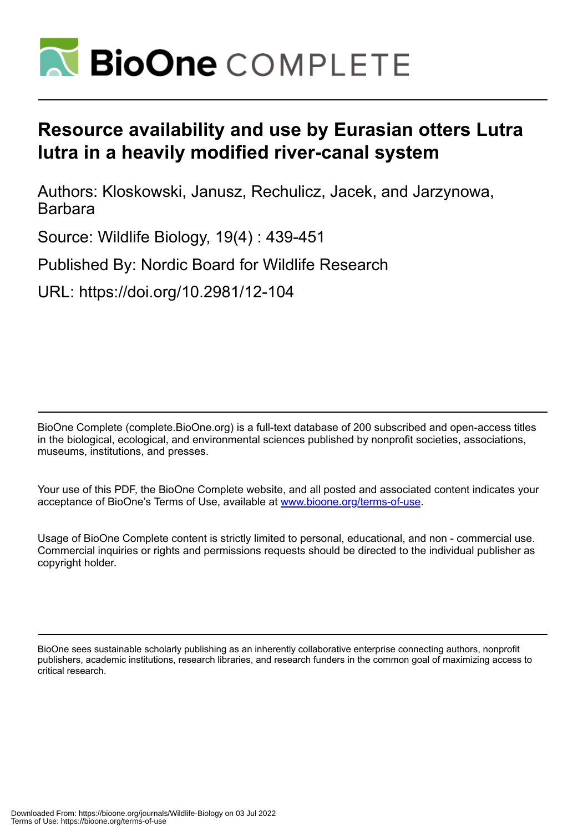

# **Resource availability and use by Eurasian otters Lutra lutra in a heavily modified river-canal system**

Authors: Kloskowski, Janusz, Rechulicz, Jacek, and Jarzynowa, **Barbara** 

Source: Wildlife Biology, 19(4) : 439-451

Published By: Nordic Board for Wildlife Research

URL: https://doi.org/10.2981/12-104

BioOne Complete (complete.BioOne.org) is a full-text database of 200 subscribed and open-access titles in the biological, ecological, and environmental sciences published by nonprofit societies, associations, museums, institutions, and presses.

Your use of this PDF, the BioOne Complete website, and all posted and associated content indicates your acceptance of BioOne's Terms of Use, available at www.bioone.org/terms-of-use.

Usage of BioOne Complete content is strictly limited to personal, educational, and non - commercial use. Commercial inquiries or rights and permissions requests should be directed to the individual publisher as copyright holder.

BioOne sees sustainable scholarly publishing as an inherently collaborative enterprise connecting authors, nonprofit publishers, academic institutions, research libraries, and research funders in the common goal of maximizing access to critical research.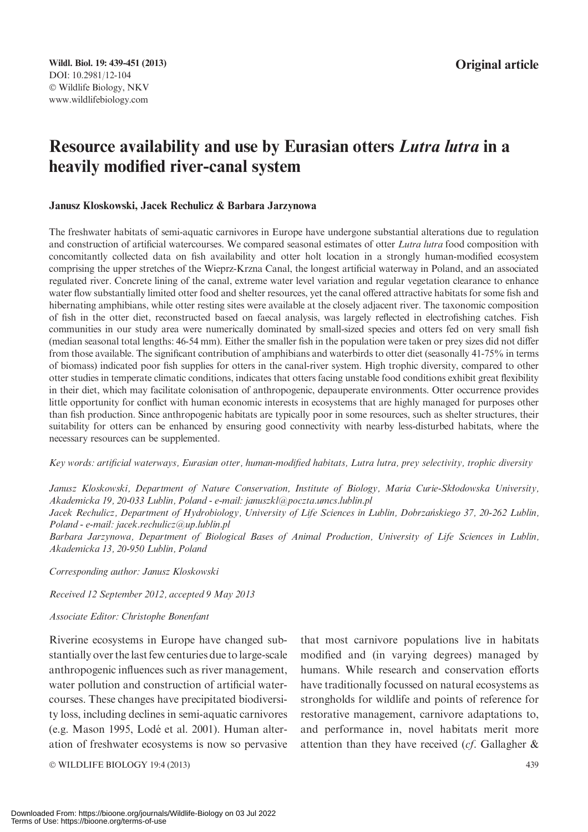## Resource availability and use by Eurasian otters Lutra lutra in a heavily modified river-canal system

## Janusz Kloskowski, Jacek Rechulicz & Barbara Jarzynowa

The freshwater habitats of semi-aquatic carnivores in Europe have undergone substantial alterations due to regulation and construction of artificial watercourses. We compared seasonal estimates of otter Lutra lutra food composition with concomitantly collected data on fish availability and otter holt location in a strongly human-modified ecosystem comprising the upper stretches of the Wieprz-Krzna Canal, the longest artificial waterway in Poland, and an associated regulated river. Concrete lining of the canal, extreme water level variation and regular vegetation clearance to enhance water flow substantially limited otter food and shelter resources, yet the canal offered attractive habitats for some fish and hibernating amphibians, while otter resting sites were available at the closely adjacent river. The taxonomic composition of fish in the otter diet, reconstructed based on faecal analysis, was largely reflected in electrofishing catches. Fish communities in our study area were numerically dominated by small-sized species and otters fed on very small fish (median seasonal total lengths: 46-54 mm). Either the smaller fish in the population were taken or prey sizes did not differ from those available. The significant contribution of amphibians and waterbirds to otter diet (seasonally 41-75% in terms of biomass) indicated poor fish supplies for otters in the canal-river system. High trophic diversity, compared to other otter studies in temperate climatic conditions, indicates that otters facing unstable food conditions exhibit great flexibility in their diet, which may facilitate colonisation of anthropogenic, depauperate environments. Otter occurrence provides little opportunity for conflict with human economic interests in ecosystems that are highly managed for purposes other than fish production. Since anthropogenic habitats are typically poor in some resources, such as shelter structures, their suitability for otters can be enhanced by ensuring good connectivity with nearby less-disturbed habitats, where the necessary resources can be supplemented.

Key words: artificial waterways, Eurasian otter, human-modified habitats, Lutra lutra, prey selectivity, trophic diversity

Janusz Kloskowski, Department of Nature Conservation, Institute of Biology, Maria Curie-Skłodowska University, Akademicka 19, 20-033 Lublin, Poland - e-mail: januszkl@poczta.umcs.lublin.pl

Jacek Rechulicz, Department of Hydrobiology, University of Life Sciences in Lublin, Dobrzańskiego 37, 20-262 Lublin, Poland - e-mail: jacek.rechulicz@up.lublin.pl

Barbara Jarzynowa, Department of Biological Bases of Animal Production, University of Life Sciences in Lublin, Akademicka 13, 20-950 Lublin, Poland

Corresponding author: Janusz Kloskowski

Received 12 September 2012, accepted 9 May 2013

#### Associate Editor: Christophe Bonenfant

Riverine ecosystems in Europe have changed substantially over the last few centuries due to large-scale anthropogenic influences such as river management, water pollution and construction of artificial watercourses. These changes have precipitated biodiversity loss, including declines in semi-aquatic carnivores (e.g. Mason 1995, Lodé et al. 2001). Human alteration of freshwater ecosystems is now so pervasive

© WILDLIFE BIOLOGY 19:4 (2013) 439

that most carnivore populations live in habitats modified and (in varying degrees) managed by humans. While research and conservation efforts have traditionally focussed on natural ecosystems as strongholds for wildlife and points of reference for restorative management, carnivore adaptations to, and performance in, novel habitats merit more attention than they have received (cf. Gallagher &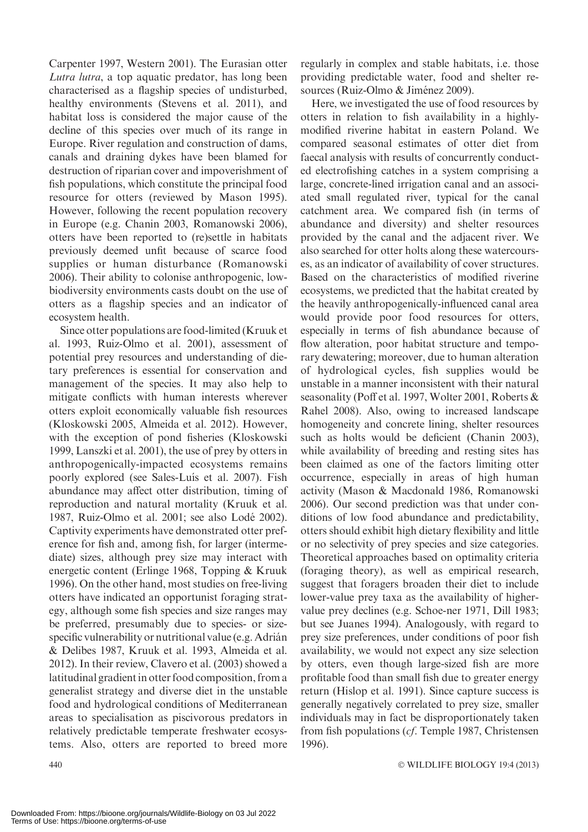Carpenter 1997, Western 2001). The Eurasian otter Lutra lutra, a top aquatic predator, has long been characterised as a flagship species of undisturbed, healthy environments (Stevens et al. 2011), and habitat loss is considered the major cause of the decline of this species over much of its range in Europe. River regulation and construction of dams, canals and draining dykes have been blamed for destruction of riparian cover and impoverishment of fish populations, which constitute the principal food resource for otters (reviewed by Mason 1995). However, following the recent population recovery in Europe (e.g. Chanin 2003, Romanowski 2006), otters have been reported to (re)settle in habitats previously deemed unfit because of scarce food supplies or human disturbance (Romanowski 2006). Their ability to colonise anthropogenic, lowbiodiversity environments casts doubt on the use of otters as a flagship species and an indicator of ecosystem health.

Since otter populations are food-limited (Kruuk et al. 1993, Ruiz-Olmo et al. 2001), assessment of potential prey resources and understanding of dietary preferences is essential for conservation and management of the species. It may also help to mitigate conflicts with human interests wherever otters exploit economically valuable fish resources (Kloskowski 2005, Almeida et al. 2012). However, with the exception of pond fisheries (Kloskowski 1999, Lanszki et al. 2001), the use of prey by otters in anthropogenically-impacted ecosystems remains poorly explored (see Sales-Luís et al. 2007). Fish abundance may affect otter distribution, timing of reproduction and natural mortality (Kruuk et al. 1987, Ruiz-Olmo et al. 2001; see also Lode´ 2002). Captivity experiments have demonstrated otter preference for fish and, among fish, for larger (intermediate) sizes, although prey size may interact with energetic content (Erlinge 1968, Topping & Kruuk 1996). On the other hand, most studies on free-living otters have indicated an opportunist foraging strategy, although some fish species and size ranges may be preferred, presumably due to species- or sizespecific vulnerability or nutritional value (e.g. Adrián & Delibes 1987, Kruuk et al. 1993, Almeida et al. 2012). In their review, Clavero et al. (2003) showed a latitudinal gradient in otter food composition, from a generalist strategy and diverse diet in the unstable food and hydrological conditions of Mediterranean areas to specialisation as piscivorous predators in relatively predictable temperate freshwater ecosystems. Also, otters are reported to breed more

regularly in complex and stable habitats, i.e. those providing predictable water, food and shelter resources (Ruiz-Olmo & Jiménez 2009).

Here, we investigated the use of food resources by otters in relation to fish availability in a highlymodified riverine habitat in eastern Poland. We compared seasonal estimates of otter diet from faecal analysis with results of concurrently conducted electrofishing catches in a system comprising a large, concrete-lined irrigation canal and an associated small regulated river, typical for the canal catchment area. We compared fish (in terms of abundance and diversity) and shelter resources provided by the canal and the adjacent river. We also searched for otter holts along these watercourses, as an indicator of availability of cover structures. Based on the characteristics of modified riverine ecosystems, we predicted that the habitat created by the heavily anthropogenically-influenced canal area would provide poor food resources for otters, especially in terms of fish abundance because of flow alteration, poor habitat structure and temporary dewatering; moreover, due to human alteration of hydrological cycles, fish supplies would be unstable in a manner inconsistent with their natural seasonality (Poff et al. 1997, Wolter 2001, Roberts & Rahel 2008). Also, owing to increased landscape homogeneity and concrete lining, shelter resources such as holts would be deficient (Chanin 2003), while availability of breeding and resting sites has been claimed as one of the factors limiting otter occurrence, especially in areas of high human activity (Mason & Macdonald 1986, Romanowski 2006). Our second prediction was that under conditions of low food abundance and predictability, otters should exhibit high dietary flexibility and little or no selectivity of prey species and size categories. Theoretical approaches based on optimality criteria (foraging theory), as well as empirical research, suggest that foragers broaden their diet to include lower-value prey taxa as the availability of highervalue prey declines (e.g. Schoe-ner 1971, Dill 1983; but see Juanes 1994). Analogously, with regard to prey size preferences, under conditions of poor fish availability, we would not expect any size selection by otters, even though large-sized fish are more profitable food than small fish due to greater energy return (Hislop et al. 1991). Since capture success is generally negatively correlated to prey size, smaller individuals may in fact be disproportionately taken from fish populations (cf. Temple 1987, Christensen 1996).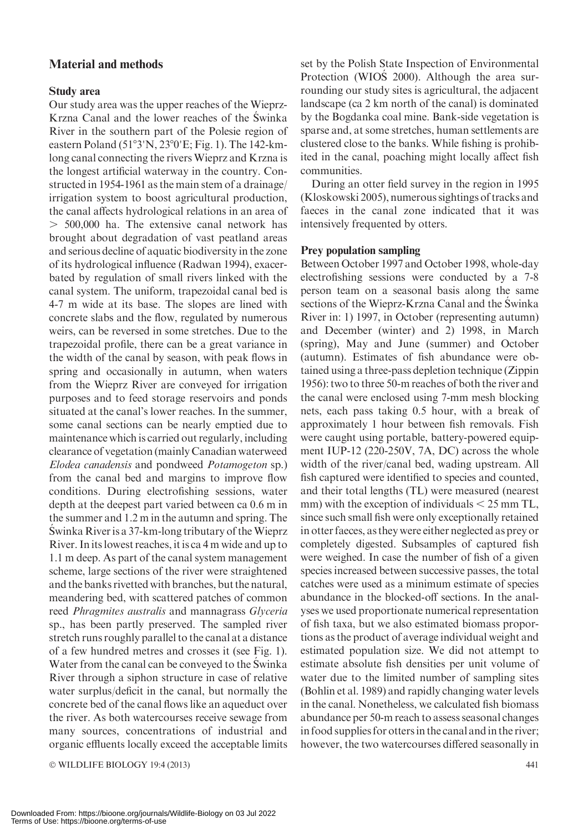## Material and methods

## Study area

Our study area was the upper reaches of the Wieprz-Krzna Canal and the lower reaches of the Swinka River in the southern part of the Polesie region of eastern Poland ( $51°3'N$ ,  $23°0'E$ ; Fig. 1). The 142-kmlong canal connecting the rivers Wieprz and Krzna is the longest artificial waterway in the country. Constructed in 1954-1961 as the main stem of a drainage/ irrigation system to boost agricultural production, the canal affects hydrological relations in an area of  $> 500,000$  ha. The extensive canal network has brought about degradation of vast peatland areas and serious decline of aquatic biodiversity in the zone of its hydrological influence (Radwan 1994), exacerbated by regulation of small rivers linked with the canal system. The uniform, trapezoidal canal bed is 4-7 m wide at its base. The slopes are lined with concrete slabs and the flow, regulated by numerous weirs, can be reversed in some stretches. Due to the trapezoidal profile, there can be a great variance in the width of the canal by season, with peak flows in spring and occasionally in autumn, when waters from the Wieprz River are conveyed for irrigation purposes and to feed storage reservoirs and ponds situated at the canal's lower reaches. In the summer, some canal sections can be nearly emptied due to maintenance which is carried out regularly, including clearance of vegetation (mainly Canadian waterweed Elodea canadensis and pondweed Potamogeton sp.) from the canal bed and margins to improve flow conditions. During electrofishing sessions, water depth at the deepest part varied between ca 0.6 m in the summer and 1.2 m in the autumn and spring. The Swinka River is a 37-km-long tributary of the Wieprz River. In its lowest reaches, it is ca 4 m wide and up to 1.1 m deep. As part of the canal system management scheme, large sections of the river were straightened and the banks rivetted with branches, but the natural, meandering bed, with scattered patches of common reed Phragmites australis and mannagrass Glyceria sp., has been partly preserved. The sampled river stretch runs roughly parallel to the canal at a distance of a few hundred metres and crosses it (see Fig. 1). Water from the canal can be conveyed to the Swinka River through a siphon structure in case of relative water surplus/deficit in the canal, but normally the concrete bed of the canal flows like an aqueduct over the river. As both watercourses receive sewage from many sources, concentrations of industrial and organic effluents locally exceed the acceptable limits

- WILDLIFE BIOLOGY 19:4 (2013) 441

set by the Polish State Inspection of Environmental Protection (WIOS<sup>2000</sup>). Although the area surrounding our study sites is agricultural, the adjacent landscape (ca 2 km north of the canal) is dominated by the Bogdanka coal mine. Bank-side vegetation is sparse and, at some stretches, human settlements are clustered close to the banks. While fishing is prohibited in the canal, poaching might locally affect fish communities.

During an otter field survey in the region in 1995 (Kloskowski 2005), numerous sightings of tracks and faeces in the canal zone indicated that it was intensively frequented by otters.

### Prey population sampling

Between October 1997 and October 1998, whole-day electrofishing sessions were conducted by a 7-8 person team on a seasonal basis along the same sections of the Wieprz-Krzna Canal and the Świnka River in: 1) 1997, in October (representing autumn) and December (winter) and 2) 1998, in March (spring), May and June (summer) and October (autumn). Estimates of fish abundance were obtained using a three-pass depletion technique (Zippin 1956): two to three 50-m reaches of both the river and the canal were enclosed using 7-mm mesh blocking nets, each pass taking 0.5 hour, with a break of approximately 1 hour between fish removals. Fish were caught using portable, battery-powered equipment IUP-12 (220-250V, 7A, DC) across the whole width of the river/canal bed, wading upstream. All fish captured were identified to species and counted, and their total lengths (TL) were measured (nearest mm) with the exception of individuals  $\leq 25$  mm TL, since such small fish were only exceptionally retained in otter faeces, as they were either neglected as prey or completely digested. Subsamples of captured fish were weighed. In case the number of fish of a given species increased between successive passes, the total catches were used as a minimum estimate of species abundance in the blocked-off sections. In the analyses we used proportionate numerical representation of fish taxa, but we also estimated biomass proportions as the product of average individual weight and estimated population size. We did not attempt to estimate absolute fish densities per unit volume of water due to the limited number of sampling sites (Bohlin et al. 1989) and rapidly changing water levels in the canal. Nonetheless, we calculated fish biomass abundance per 50-m reach to assess seasonal changes in food supplies for otters in the canal and in the river; however, the two watercourses differed seasonally in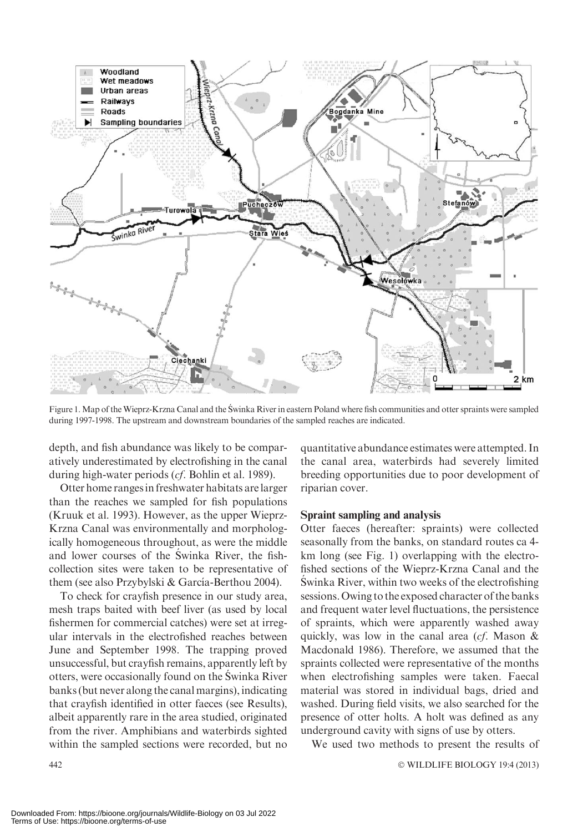

Figure 1. Map of the Wieprz-Krzna Canal and the S´winka River in eastern Poland where fish communities and otter spraints were sampled during 1997-1998. The upstream and downstream boundaries of the sampled reaches are indicated.

depth, and fish abundance was likely to be comparatively underestimated by electrofishing in the canal during high-water periods (cf. Bohlin et al. 1989).

Otter home rangesin freshwater habitats are larger than the reaches we sampled for fish populations (Kruuk et al. 1993). However, as the upper Wieprz-Krzna Canal was environmentally and morphologically homogeneous throughout, as were the middle and lower courses of the Swinka River, the fishcollection sites were taken to be representative of them (see also Przybylski & García-Berthou 2004).

To check for crayfish presence in our study area, mesh traps baited with beef liver (as used by local fishermen for commercial catches) were set at irregular intervals in the electrofished reaches between June and September 1998. The trapping proved unsuccessful, but crayfish remains, apparently left by otters, were occasionally found on the Swinka River banks (but never along the canal margins), indicating that crayfish identified in otter faeces (see Results), albeit apparently rare in the area studied, originated from the river. Amphibians and waterbirds sighted within the sampled sections were recorded, but no

quantitative abundance estimates were attempted. In the canal area, waterbirds had severely limited breeding opportunities due to poor development of riparian cover.

#### Spraint sampling and analysis

Otter faeces (hereafter: spraints) were collected seasonally from the banks, on standard routes ca 4 km long (see Fig. 1) overlapping with the electrofished sections of the Wieprz-Krzna Canal and the Swinka River, within two weeks of the electrofishing sessions. Owing to the exposed character of the banks and frequent water level fluctuations, the persistence of spraints, which were apparently washed away quickly, was low in the canal area (cf. Mason & Macdonald 1986). Therefore, we assumed that the spraints collected were representative of the months when electrofishing samples were taken. Faecal material was stored in individual bags, dried and washed. During field visits, we also searched for the presence of otter holts. A holt was defined as any underground cavity with signs of use by otters.

We used two methods to present the results of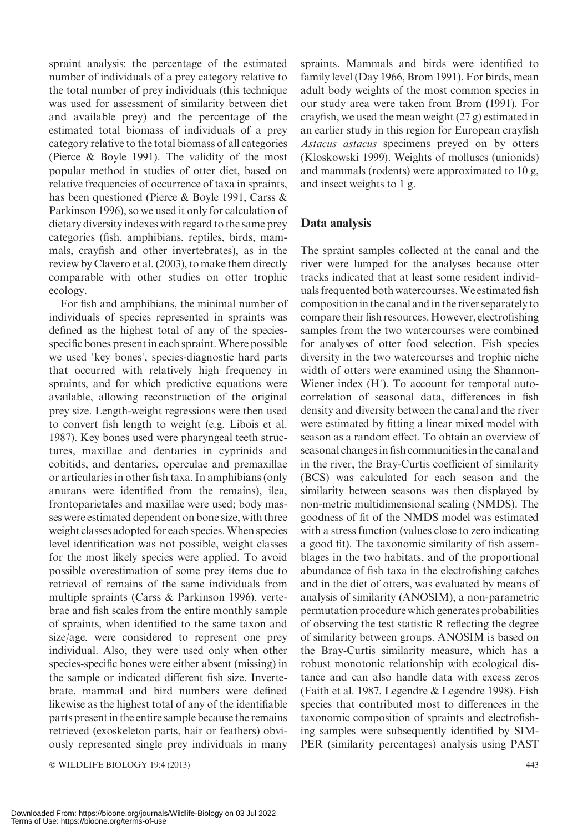spraint analysis: the percentage of the estimated number of individuals of a prey category relative to the total number of prey individuals (this technique was used for assessment of similarity between diet and available prey) and the percentage of the estimated total biomass of individuals of a prey category relative to the total biomass of all categories (Pierce & Boyle 1991). The validity of the most popular method in studies of otter diet, based on relative frequencies of occurrence of taxa in spraints, has been questioned (Pierce & Boyle 1991, Carss & Parkinson 1996), so we used it only for calculation of dietary diversity indexes with regard to the same prey categories (fish, amphibians, reptiles, birds, mammals, crayfish and other invertebrates), as in the review by Clavero et al. (2003), to make them directly comparable with other studies on otter trophic ecology.

For fish and amphibians, the minimal number of individuals of species represented in spraints was defined as the highest total of any of the speciesspecific bones present in each spraint. Where possible we used 'key bones', species-diagnostic hard parts that occurred with relatively high frequency in spraints, and for which predictive equations were available, allowing reconstruction of the original prey size. Length-weight regressions were then used to convert fish length to weight (e.g. Libois et al. 1987). Key bones used were pharyngeal teeth structures, maxillae and dentaries in cyprinids and cobitids, and dentaries, operculae and premaxillae or articularies in other fish taxa. In amphibians (only anurans were identified from the remains), ilea, frontoparietales and maxillae were used; body masses were estimated dependent on bone size, with three weight classes adopted for each species.When species level identification was not possible, weight classes for the most likely species were applied. To avoid possible overestimation of some prey items due to retrieval of remains of the same individuals from multiple spraints (Carss & Parkinson 1996), vertebrae and fish scales from the entire monthly sample of spraints, when identified to the same taxon and size/age, were considered to represent one prey individual. Also, they were used only when other species-specific bones were either absent (missing) in the sample or indicated different fish size. Invertebrate, mammal and bird numbers were defined likewise as the highest total of any of the identifiable parts present in the entire sample because the remains retrieved (exoskeleton parts, hair or feathers) obviously represented single prey individuals in many

- WILDLIFE BIOLOGY 19:4 (2013) 443

spraints. Mammals and birds were identified to family level (Day 1966, Brom 1991). For birds, mean adult body weights of the most common species in our study area were taken from Brom (1991). For crayfish, we used the mean weight (27 g) estimated in an earlier study in this region for European crayfish Astacus astacus specimens preyed on by otters (Kloskowski 1999). Weights of molluscs (unionids) and mammals (rodents) were approximated to 10 g, and insect weights to 1 g.

## Data analysis

The spraint samples collected at the canal and the river were lumped for the analyses because otter tracks indicated that at least some resident individuals frequented both watercourses.We estimated fish composition in the canal and in the river separately to compare their fish resources. However, electrofishing samples from the two watercourses were combined for analyses of otter food selection. Fish species diversity in the two watercourses and trophic niche width of otters were examined using the Shannon-Wiener index (H'). To account for temporal autocorrelation of seasonal data, differences in fish density and diversity between the canal and the river were estimated by fitting a linear mixed model with season as a random effect. To obtain an overview of seasonal changes in fish communities in the canal and in the river, the Bray-Curtis coefficient of similarity (BCS) was calculated for each season and the similarity between seasons was then displayed by non-metric multidimensional scaling (NMDS). The goodness of fit of the NMDS model was estimated with a stress function (values close to zero indicating a good fit). The taxonomic similarity of fish assemblages in the two habitats, and of the proportional abundance of fish taxa in the electrofishing catches and in the diet of otters, was evaluated by means of analysis of similarity (ANOSIM), a non-parametric permutation procedure which generates probabilities of observing the test statistic R reflecting the degree of similarity between groups. ANOSIM is based on the Bray-Curtis similarity measure, which has a robust monotonic relationship with ecological distance and can also handle data with excess zeros (Faith et al. 1987, Legendre & Legendre 1998). Fish species that contributed most to differences in the taxonomic composition of spraints and electrofishing samples were subsequently identified by SIM-PER (similarity percentages) analysis using PAST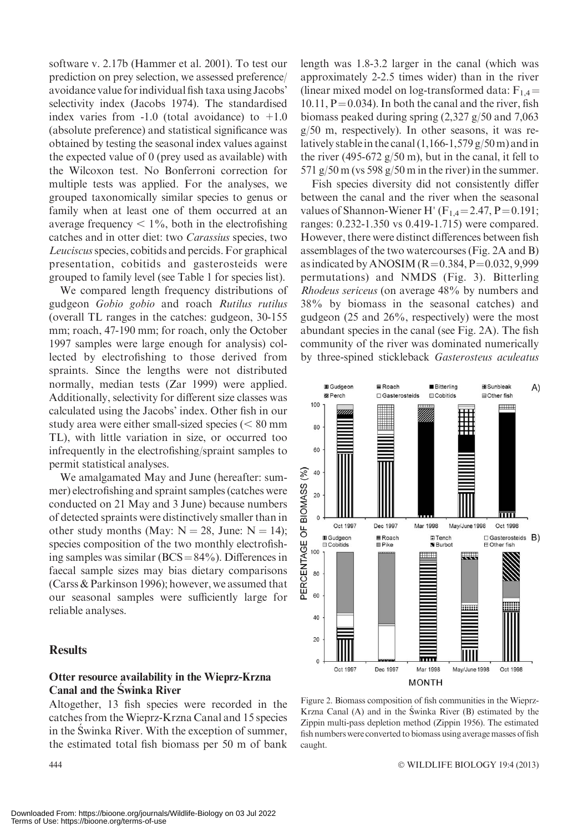software v. 2.17b (Hammer et al. 2001). To test our prediction on prey selection, we assessed preference/ avoidance value for individual fish taxa using Jacobs' selectivity index (Jacobs 1974). The standardised index varies from  $-1.0$  (total avoidance) to  $+1.0$ (absolute preference) and statistical significance was obtained by testing the seasonal index values against the expected value of 0 (prey used as available) with the Wilcoxon test. No Bonferroni correction for multiple tests was applied. For the analyses, we grouped taxonomically similar species to genus or family when at least one of them occurred at an average frequency  $\lt 1\%$ , both in the electrofishing catches and in otter diet: two Carassius species, two Leuciscus species, cobitids and percids. For graphical presentation, cobitids and gasterosteids were grouped to family level (see Table 1 for species list).

We compared length frequency distributions of gudgeon Gobio gobio and roach Rutilus rutilus (overall TL ranges in the catches: gudgeon, 30-155 mm; roach, 47-190 mm; for roach, only the October 1997 samples were large enough for analysis) collected by electrofishing to those derived from spraints. Since the lengths were not distributed normally, median tests (Zar 1999) were applied. Additionally, selectivity for different size classes was calculated using the Jacobs' index. Other fish in our study area were either small-sized species  $(< 80$  mm TL), with little variation in size, or occurred too infrequently in the electrofishing/spraint samples to permit statistical analyses.

We amalgamated May and June (hereafter: summer) electrofishing and spraint samples (catches were conducted on 21 May and 3 June) because numbers of detected spraints were distinctively smaller than in other study months (May:  $N = 28$ , June:  $N = 14$ ); species composition of the two monthly electrofishing samples was similar  $(BCS = 84\%)$ . Differences in faecal sample sizes may bias dietary comparisons (Carss & Parkinson 1996); however, we assumed that our seasonal samples were sufficiently large for reliable analyses.

## **Results**

## Otter resource availability in the Wieprz-Krzna Canal and the Swinka River

Altogether, 13 fish species were recorded in the catches from the Wieprz-Krzna Canal and 15 species in the Swinka River. With the exception of summer, the estimated total fish biomass per 50 m of bank

 $444$ 

length was 1.8-3.2 larger in the canal (which was approximately 2-2.5 times wider) than in the river (linear mixed model on log-transformed data:  $F_{1,4}$  =  $10.11$ ,  $P = 0.034$ ). In both the canal and the river, fish biomass peaked during spring (2,327 g/50 and 7,063 g/50 m, respectively). In other seasons, it was relatively stable in the canal  $(1,166-1,579)$  g/50 m) and in the river (495-672  $g/50$  m), but in the canal, it fell to 571 g/50 m (vs 598 g/50 m in the river) in the summer.

Fish species diversity did not consistently differ between the canal and the river when the seasonal values of Shannon-Wiener H' ( $F_{1,4}$ =2.47, P=0.191; ranges: 0.232-1.350 vs 0.419-1.715) were compared. However, there were distinct differences between fish assemblages of the two watercourses (Fig. 2A and B) as indicated by ANOSIM  $(R=0.384, P=0.032, 9.999)$ permutations) and NMDS (Fig. 3). Bitterling Rhodeus sericeus (on average 48% by numbers and 38% by biomass in the seasonal catches) and gudgeon (25 and 26%, respectively) were the most abundant species in the canal (see Fig. 2A). The fish community of the river was dominated numerically by three-spined stickleback Gasterosteus aculeatus



Figure 2. Biomass composition of fish communities in the Wieprz-Krzna Canal  $(A)$  and in the Swinka River  $(B)$  estimated by the Zippin multi-pass depletion method (Zippin 1956). The estimated fish numbers were converted to biomass using average masses of fish caught.

WILDLIFE BIOLOGY 19:4 (2013)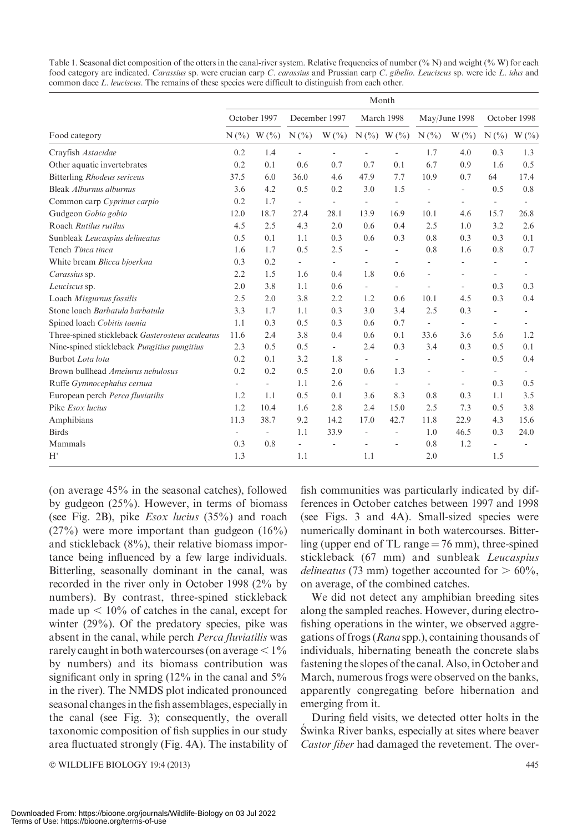| Table 1. Seasonal diet composition of the otters in the canal-river system. Relative frequencies of number $(\% N)$ and weight $(\% W)$ for each |
|--------------------------------------------------------------------------------------------------------------------------------------------------|
| food category are indicated. Carassius sp. were crucian carp C. carassius and Prussian carp C. gibelio. Leuciscus sp. were ide L. idus and       |
| common dace L, leuciscus. The remains of these species were difficult to distinguish from each other.                                            |

| Food category                                   | Month                    |                          |                          |                          |                          |                          |                          |                          |                          |                          |
|-------------------------------------------------|--------------------------|--------------------------|--------------------------|--------------------------|--------------------------|--------------------------|--------------------------|--------------------------|--------------------------|--------------------------|
|                                                 | October 1997             |                          | December 1997            |                          | March 1998               |                          | May/June 1998            |                          | October 1998             |                          |
|                                                 |                          | $N(\%)$ W $(\%)$         | N(%                      | $W($ % $)$               |                          | $N(\%) W(\%)$            | N(%                      | $W($ % $)$               | $N(\%)$                  | $W($ %)                  |
| Crayfish Astacidae                              | 0.2                      | 1.4                      | ÷,                       |                          |                          |                          | 1.7                      | 4.0                      | 0.3                      | 1.3                      |
| Other aquatic invertebrates                     | 0.2                      | 0.1                      | 0.6                      | 0.7                      | 0.7                      | 0.1                      | 6.7                      | 0.9                      | 1.6                      | 0.5                      |
| <b>Bitterling Rhodeus sericeus</b>              | 37.5                     | 6.0                      | 36.0                     | 4.6                      | 47.9                     | 7.7                      | 10.9                     | 0.7                      | 64                       | 17.4                     |
| Bleak Alburnus alburnus                         | 3.6                      | 4.2                      | 0.5                      | 0.2                      | 3.0                      | 1.5                      |                          | ÷,                       | 0.5                      | 0.8                      |
| Common carp Cyprinus carpio                     | 0.2                      | 1.7                      | $\overline{\phantom{a}}$ | L.                       | $\overline{\phantom{a}}$ | $\overline{\phantom{a}}$ |                          | ÷.                       | ÷,                       | $\overline{a}$           |
| Gudgeon Gobio gobio                             | 12.0                     | 18.7                     | 27.4                     | 28.1                     | 13.9                     | 16.9                     | 10.1                     | 4.6                      | 15.7                     | 26.8                     |
| Roach Rutilus rutilus                           | 4.5                      | 2.5                      | 4.3                      | 2.0                      | 0.6                      | 0.4                      | 2.5                      | 1.0                      | 3.2                      | 2.6                      |
| Sunbleak Leucaspius delineatus                  | 0.5                      | 0.1                      | 1.1                      | 0.3                      | 0.6                      | 0.3                      | 0.8                      | 0.3                      | 0.3                      | 0.1                      |
| Tench Tinca tinca                               | 1.6                      | 1.7                      | 0.5                      | 2.5                      | $\overline{\phantom{a}}$ | $\overline{\phantom{a}}$ | 0.8                      | 1.6                      | 0.8                      | 0.7                      |
| White bream Blicca bjoerkna                     | 0.3                      | 0.2                      | $\overline{\phantom{a}}$ | $\overline{\phantom{a}}$ | $\overline{\phantom{a}}$ | ÷.                       | ä,                       | ÷.                       | ÷.                       | $\overline{\phantom{a}}$ |
| Carassius sp.                                   | 2.2                      | 1.5                      | 1.6                      | 0.4                      | 1.8                      | 0.6                      |                          | ä,                       | $\overline{\phantom{0}}$ | $\overline{\phantom{a}}$ |
| Leuciscus sp.                                   | 2.0                      | 3.8                      | 1.1                      | 0.6                      | $\mathbf{r}$             | $\overline{\phantom{a}}$ | $\overline{a}$           | $\overline{a}$           | 0.3                      | 0.3                      |
| Loach Misgurnus fossilis                        | 2.5                      | 2.0                      | 3.8                      | 2.2                      | 1.2                      | 0.6                      | 10.1                     | 4.5                      | 0.3                      | 0.4                      |
| Stone loach Barbatula barbatula                 | 3.3                      | 1.7                      | 1.1                      | 0.3                      | 3.0                      | 3.4                      | 2.5                      | 0.3                      | ÷.                       | $\overline{\phantom{a}}$ |
| Spined loach Cobitis taenia                     | 1.1                      | 0.3                      | 0.5                      | 0.3                      | 0.6                      | 0.7                      | $\overline{\phantom{a}}$ | $\overline{\phantom{a}}$ | $\overline{\phantom{0}}$ | $\overline{\phantom{a}}$ |
| Three-spined stickleback Gasterosteus aculeatus | 11.6                     | 2.4                      | 3.8                      | 0.4                      | 0.6                      | 0.1                      | 33.6                     | 3.6                      | 5.6                      | 1.2                      |
| Nine-spined stickleback Pungitius pungitius     | 2.3                      | 0.5                      | 0.5                      | $\overline{\phantom{a}}$ | 2.4                      | 0.3                      | 3.4                      | 0.3                      | 0.5                      | 0.1                      |
| Burbot Lota lota                                | 0.2                      | 0.1                      | 3.2                      | 1.8                      | $\overline{\phantom{a}}$ | $\overline{\phantom{a}}$ | $\overline{\phantom{a}}$ | $\overline{a}$           | 0.5                      | 0.4                      |
| Brown bullhead Ameiurus nebulosus               | 0.2                      | 0.2                      | 0.5                      | 2.0                      | 0.6                      | 1.3                      | $\overline{\phantom{a}}$ | L,                       | ÷                        | $\blacksquare$           |
| Ruffe Gymnocephalus cernua                      | $\sim$                   | $\overline{\phantom{a}}$ | 1.1                      | 2.6                      | $\overline{\phantom{a}}$ | $\overline{\phantom{a}}$ | $\overline{\phantom{a}}$ | $\frac{1}{2}$            | 0.3                      | 0.5                      |
| European perch Perca fluviatilis                | 1.2                      | 1.1                      | 0.5                      | 0.1                      | 3.6                      | 8.3                      | 0.8                      | 0.3                      | 1.1                      | 3.5                      |
| Pike <i>Esox lucius</i>                         | 1.2                      | 10.4                     | 1.6                      | 2.8                      | 2.4                      | 15.0                     | 2.5                      | 7.3                      | 0.5                      | 3.8                      |
| Amphibians                                      | 11.3                     | 38.7                     | 9.2                      | 14.2                     | 17.0                     | 42.7                     | 11.8                     | 22.9                     | 4.3                      | 15.6                     |
| <b>Birds</b>                                    | $\overline{\phantom{a}}$ | $\blacksquare$           | 1.1                      | 33.9                     |                          | $\overline{a}$           | 1.0                      | 46.5                     | 0.3                      | 24.0                     |
| Mammals                                         | 0.3                      | 0.8                      | $\overline{\phantom{a}}$ |                          |                          | ä,                       | 0.8                      | 1.2                      | $\overline{\phantom{0}}$ | ÷,                       |
| H'                                              | 1.3                      |                          | 1.1                      |                          | 1.1                      |                          | 2.0                      |                          | 1.5                      |                          |

(on average 45% in the seasonal catches), followed by gudgeon (25%). However, in terms of biomass (see Fig. 2B), pike Esox lucius (35%) and roach (27%) were more important than gudgeon (16%) and stickleback (8%), their relative biomass importance being influenced by a few large individuals. Bitterling, seasonally dominant in the canal, was recorded in the river only in October 1998 (2% by numbers). By contrast, three-spined stickleback made up  $< 10\%$  of catches in the canal, except for winter (29%). Of the predatory species, pike was absent in the canal, while perch Perca fluviatilis was rarely caught in both watercourses (on average  $\leq 1\%$ by numbers) and its biomass contribution was significant only in spring  $(12\%$  in the canal and  $5\%$ in the river). The NMDS plot indicated pronounced seasonal changes in the fish assemblages, especially in the canal (see Fig. 3); consequently, the overall taxonomic composition of fish supplies in our study area fluctuated strongly (Fig. 4A). The instability of

- WILDLIFE BIOLOGY 19:4 (2013) 445

fish communities was particularly indicated by differences in October catches between 1997 and 1998 (see Figs. 3 and 4A). Small-sized species were numerically dominant in both watercourses. Bitterling (upper end of TL range  $= 76$  mm), three-spined stickleback (67 mm) and sunbleak Leucaspius delineatus (73 mm) together accounted for  $> 60\%$ , on average, of the combined catches.

We did not detect any amphibian breeding sites along the sampled reaches. However, during electrofishing operations in the winter, we observed aggregations of frogs (Rana spp.), containing thousands of individuals, hibernating beneath the concrete slabs fastening the slopes of the canal. Also, in October and March, numerous frogs were observed on the banks, apparently congregating before hibernation and emerging from it.

During field visits, we detected otter holts in the Swinka River banks, especially at sites where beaver Castor fiber had damaged the revetement. The over-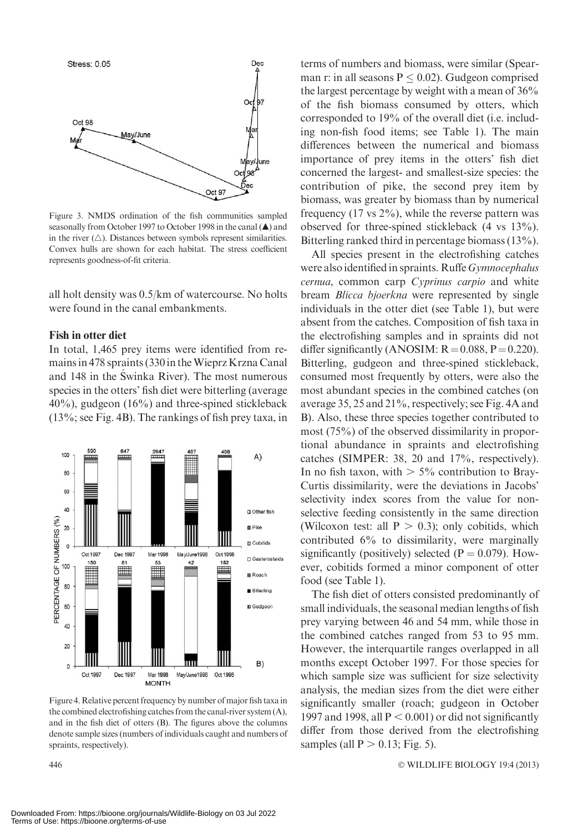

Figure 3. NMDS ordination of the fish communities sampled seasonally from October 1997 to October 1998 in the canal  $(\triangle)$  and in the river  $(\triangle)$ . Distances between symbols represent similarities. Convex hulls are shown for each habitat. The stress coefficient represents goodness-of-fit criteria.

all holt density was 0.5/km of watercourse. No holts were found in the canal embankments.

### Fish in otter diet

In total, 1,465 prey items were identified from remains in 478 spraints (330 in theWieprz Krzna Canal and 148 in the Swinka River). The most numerous species in the otters' fish diet were bitterling (average  $40\%$ ), gudgeon (16%) and three-spined stickleback (13%; see Fig. 4B). The rankings of fish prey taxa, in



Figure 4.Relative percent frequency by number of major fish taxa in the combined electrofishing catches from the canal-river system (A), and in the fish diet of otters (B). The figures above the columns denote sample sizes (numbers of individuals caught and numbers of spraints, respectively).

terms of numbers and biomass, were similar (Spearman r: in all seasons  $P \leq 0.02$ ). Gudgeon comprised the largest percentage by weight with a mean of 36% of the fish biomass consumed by otters, which corresponded to 19% of the overall diet (i.e. including non-fish food items; see Table 1). The main differences between the numerical and biomass importance of prey items in the otters' fish diet concerned the largest- and smallest-size species: the contribution of pike, the second prey item by biomass, was greater by biomass than by numerical frequency  $(17 \text{ vs } 2\%)$ , while the reverse pattern was observed for three-spined stickleback (4 vs 13%). Bitterling ranked third in percentage biomass (13%).

All species present in the electrofishing catches were also identified in spraints. Ruffe Gymnocephalus cernua, common carp Cyprinus carpio and white bream *Blicca bjoerkna* were represented by single individuals in the otter diet (see Table 1), but were absent from the catches. Composition of fish taxa in the electrofishing samples and in spraints did not differ significantly (ANOSIM:  $R = 0.088$ ,  $P = 0.220$ ). Bitterling, gudgeon and three-spined stickleback, consumed most frequently by otters, were also the most abundant species in the combined catches (on average 35, 25 and 21%, respectively; see Fig. 4A and B). Also, these three species together contributed to most (75%) of the observed dissimilarity in proportional abundance in spraints and electrofishing catches (SIMPER: 38, 20 and 17%, respectively). In no fish taxon, with  $> 5\%$  contribution to Bray-Curtis dissimilarity, were the deviations in Jacobs' selectivity index scores from the value for nonselective feeding consistently in the same direction (Wilcoxon test: all  $P > 0.3$ ); only cobitids, which contributed 6% to dissimilarity, were marginally significantly (positively) selected  $(P = 0.079)$ . However, cobitids formed a minor component of otter food (see Table 1).

The fish diet of otters consisted predominantly of small individuals, the seasonal median lengths of fish prey varying between 46 and 54 mm, while those in the combined catches ranged from 53 to 95 mm. However, the interquartile ranges overlapped in all months except October 1997. For those species for which sample size was sufficient for size selectivity analysis, the median sizes from the diet were either significantly smaller (roach; gudgeon in October 1997 and 1998, all  $P < 0.001$ ) or did not significantly differ from those derived from the electrofishing samples (all  $P > 0.13$ ; Fig. 5).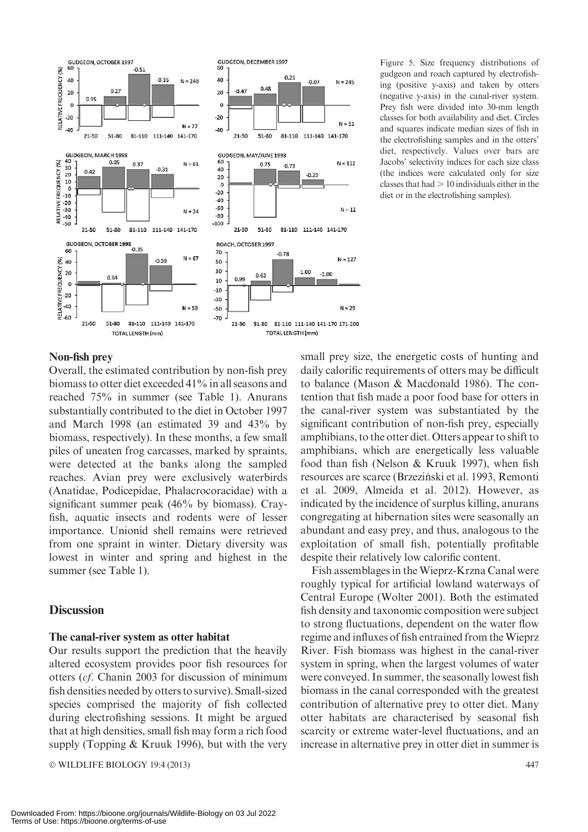

Figure 5. Size frequency distributions of gudgeon and roach captured by electrofishing (positive y-axis) and taken by otters (negative y-axis) in the canal-river system. Prey fish were divided into 30-mm length classes for both availability and diet. Circles and squares indicate median sizes of fish in the electrofishing samples and in the otters' diet, respectively. Values over bars are Jacobs' selectivity indices for each size class (the indices were calculated only for size classes that had  $> 10$  individuals either in the diet or in the electrofishing samples).

## Non-fish prey

Overall, the estimated contribution by non-fish prey biomass to otter diet exceeded 41% in all seasons and reached 75% in summer (see Table 1). Anurans substantially contributed to the diet in October 1997 and March 1998 (an estimated 39 and 43% by biomass, respectively). In these months, a few small piles of uneaten frog carcasses, marked by spraints, were detected at the banks along the sampled reaches. Avian prey were exclusively waterbirds (Anatidae, Podicepidae, Phalacrocoracidae) with a significant summer peak (46% by biomass). Crayfish, aquatic insects and rodents were of lesser importance. Unionid shell remains were retrieved from one spraint in winter. Dietary diversity was lowest in winter and spring and highest in the summer (see Table 1).

#### **Discussion**

#### The canal-river system as otter habitat

Our results support the prediction that the heavily altered ecosystem provides poor fish resources for otters (cf. Chanin 2003 for discussion of minimum fish densities needed by otters to survive). Small-sized species comprised the majority of fish collected during electrofishing sessions. It might be argued that at high densities, small fish may form a rich food supply (Topping & Kruuk 1996), but with the very

- WILDLIFE BIOLOGY 19:4 (2013) 447

small prey size, the energetic costs of hunting and daily calorific requirements of otters may be difficult to balance (Mason & Macdonald 1986). The contention that fish made a poor food base for otters in the canal-river system was substantiated by the significant contribution of non-fish prey, especially amphibians, to the otter diet. Otters appear to shift to amphibians, which are energetically less valuable food than fish (Nelson & Kruuk 1997), when fish resources are scarce (Brzeziński et al. 1993, Remonti et al. 2009, Almeida et al. 2012). However, as indicated by the incidence of surplus killing, anurans congregating at hibernation sites were seasonally an abundant and easy prey, and thus, analogous to the exploitation of small fish, potentially profitable despite their relatively low calorific content.

Fish assemblages in the Wieprz-Krzna Canal were roughly typical for artificial lowland waterways of Central Europe (Wolter 2001). Both the estimated fish density and taxonomic composition were subject to strong fluctuations, dependent on the water flow regime and influxes of fish entrained from the Wieprz River. Fish biomass was highest in the canal-river system in spring, when the largest volumes of water were conveyed. In summer, the seasonally lowest fish biomass in the canal corresponded with the greatest contribution of alternative prey to otter diet. Many otter habitats are characterised by seasonal fish scarcity or extreme water-level fluctuations, and an increase in alternative prey in otter diet in summer is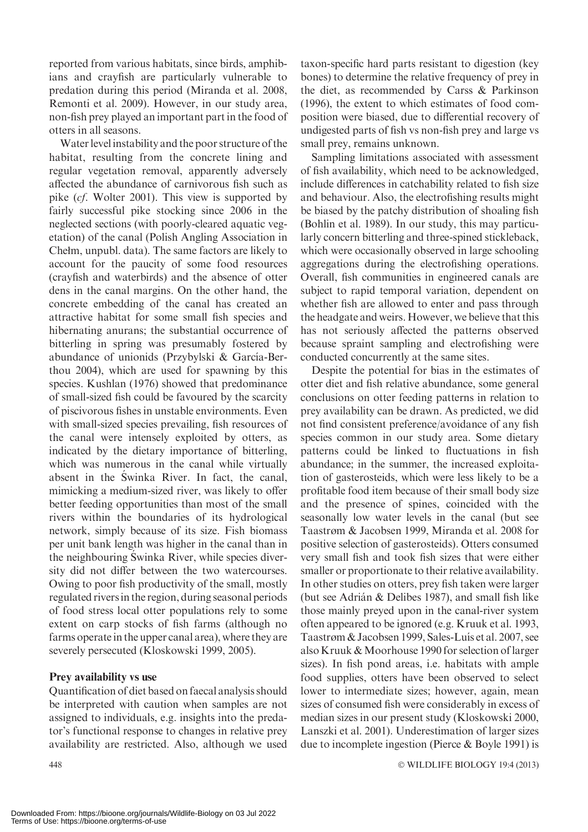reported from various habitats, since birds, amphibians and crayfish are particularly vulnerable to predation during this period (Miranda et al. 2008, Remonti et al. 2009). However, in our study area, non-fish prey played an important part in the food of otters in all seasons.

Water level instability and the poor structure of the habitat, resulting from the concrete lining and regular vegetation removal, apparently adversely affected the abundance of carnivorous fish such as pike (cf. Wolter 2001). This view is supported by fairly successful pike stocking since 2006 in the neglected sections (with poorly-cleared aquatic vegetation) of the canal (Polish Angling Association in Chełm, unpubl. data). The same factors are likely to account for the paucity of some food resources (crayfish and waterbirds) and the absence of otter dens in the canal margins. On the other hand, the concrete embedding of the canal has created an attractive habitat for some small fish species and hibernating anurans; the substantial occurrence of bitterling in spring was presumably fostered by abundance of unionids (Przybylski & García-Berthou 2004), which are used for spawning by this species. Kushlan (1976) showed that predominance of small-sized fish could be favoured by the scarcity of piscivorous fishes in unstable environments. Even with small-sized species prevailing, fish resources of the canal were intensely exploited by otters, as indicated by the dietary importance of bitterling, which was numerous in the canal while virtually absent in the Swinka River. In fact, the canal, mimicking a medium-sized river, was likely to offer better feeding opportunities than most of the small rivers within the boundaries of its hydrological network, simply because of its size. Fish biomass per unit bank length was higher in the canal than in the neighbouring Swinka River, while species diversity did not differ between the two watercourses. Owing to poor fish productivity of the small, mostly regulated riversin the region, during seasonal periods of food stress local otter populations rely to some extent on carp stocks of fish farms (although no farms operate in the upper canal area), where they are severely persecuted (Kloskowski 1999, 2005).

## Prey availability vs use

Quantification of diet based on faecal analysis should be interpreted with caution when samples are not assigned to individuals, e.g. insights into the predator's functional response to changes in relative prey availability are restricted. Also, although we used

taxon-specific hard parts resistant to digestion (key bones) to determine the relative frequency of prey in the diet, as recommended by Carss & Parkinson (1996), the extent to which estimates of food composition were biased, due to differential recovery of undigested parts of fish vs non-fish prey and large vs small prey, remains unknown.

Sampling limitations associated with assessment of fish availability, which need to be acknowledged, include differences in catchability related to fish size and behaviour. Also, the electrofishing results might be biased by the patchy distribution of shoaling fish (Bohlin et al. 1989). In our study, this may particularly concern bitterling and three-spined stickleback, which were occasionally observed in large schooling aggregations during the electrofishing operations. Overall, fish communities in engineered canals are subject to rapid temporal variation, dependent on whether fish are allowed to enter and pass through the headgate and weirs. However, we believe that this has not seriously affected the patterns observed because spraint sampling and electrofishing were conducted concurrently at the same sites.

Despite the potential for bias in the estimates of otter diet and fish relative abundance, some general conclusions on otter feeding patterns in relation to prey availability can be drawn. As predicted, we did not find consistent preference/avoidance of any fish species common in our study area. Some dietary patterns could be linked to fluctuations in fish abundance; in the summer, the increased exploitation of gasterosteids, which were less likely to be a profitable food item because of their small body size and the presence of spines, coincided with the seasonally low water levels in the canal (but see Taastrøm & Jacobsen 1999, Miranda et al. 2008 for positive selection of gasterosteids). Otters consumed very small fish and took fish sizes that were either smaller or proportionate to their relative availability. In other studies on otters, prey fish taken were larger (but see Adrián & Delibes 1987), and small fish like those mainly preyed upon in the canal-river system often appeared to be ignored (e.g. Kruuk et al. 1993, Taastrøm & Jacobsen 1999, Sales-Luı´s et al. 2007, see also Kruuk & Moorhouse 1990 for selection of larger sizes). In fish pond areas, i.e. habitats with ample food supplies, otters have been observed to select lower to intermediate sizes; however, again, mean sizes of consumed fish were considerably in excess of median sizes in our present study (Kloskowski 2000, Lanszki et al. 2001). Underestimation of larger sizes due to incomplete ingestion (Pierce & Boyle 1991) is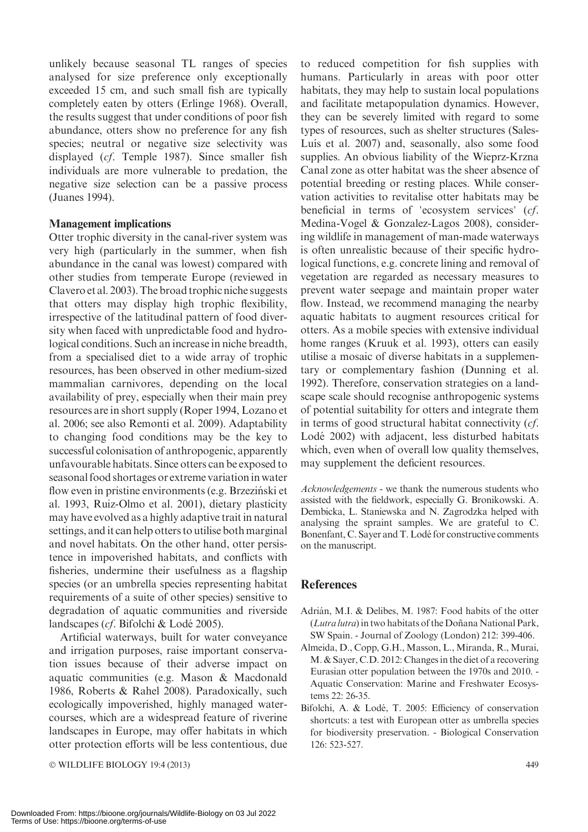unlikely because seasonal TL ranges of species analysed for size preference only exceptionally exceeded 15 cm, and such small fish are typically completely eaten by otters (Erlinge 1968). Overall, the results suggest that under conditions of poor fish abundance, otters show no preference for any fish species; neutral or negative size selectivity was displayed (cf. Temple 1987). Since smaller fish individuals are more vulnerable to predation, the negative size selection can be a passive process (Juanes 1994).

## Management implications

Otter trophic diversity in the canal-river system was very high (particularly in the summer, when fish abundance in the canal was lowest) compared with other studies from temperate Europe (reviewed in Clavero et al. 2003).The broad trophic niche suggests that otters may display high trophic flexibility, irrespective of the latitudinal pattern of food diversity when faced with unpredictable food and hydrological conditions. Such an increase in niche breadth, from a specialised diet to a wide array of trophic resources, has been observed in other medium-sized mammalian carnivores, depending on the local availability of prey, especially when their main prey resources are in short supply (Roper 1994, Lozano et al. 2006; see also Remonti et al. 2009). Adaptability to changing food conditions may be the key to successful colonisation of anthropogenic, apparently unfavourable habitats. Since otters can be exposed to seasonal food shortages or extreme variation in water flow even in pristine environments (e.g. Brzeziński et al. 1993, Ruiz-Olmo et al. 2001), dietary plasticity may have evolved as a highly adaptive trait in natural settings, and it can help otters to utilise both marginal and novel habitats. On the other hand, otter persistence in impoverished habitats, and conflicts with fisheries, undermine their usefulness as a flagship species (or an umbrella species representing habitat requirements of a suite of other species) sensitive to degradation of aquatic communities and riverside landscapes (cf. Bifolchi & Lodé 2005).

Artificial waterways, built for water conveyance and irrigation purposes, raise important conservation issues because of their adverse impact on aquatic communities (e.g. Mason & Macdonald 1986, Roberts & Rahel 2008). Paradoxically, such ecologically impoverished, highly managed watercourses, which are a widespread feature of riverine landscapes in Europe, may offer habitats in which otter protection efforts will be less contentious, due

© WILDLIFE BIOLOGY 19:4 (2013) 449

to reduced competition for fish supplies with humans. Particularly in areas with poor otter habitats, they may help to sustain local populations and facilitate metapopulation dynamics. However, they can be severely limited with regard to some types of resources, such as shelter structures (Sales-Luís et al. 2007) and, seasonally, also some food supplies. An obvious liability of the Wieprz-Krzna Canal zone as otter habitat was the sheer absence of potential breeding or resting places. While conservation activities to revitalise otter habitats may be beneficial in terms of 'ecosystem services' (cf. Medina-Vogel & Gonzalez-Lagos 2008), considering wildlife in management of man-made waterways is often unrealistic because of their specific hydrological functions, e.g. concrete lining and removal of vegetation are regarded as necessary measures to prevent water seepage and maintain proper water flow. Instead, we recommend managing the nearby aquatic habitats to augment resources critical for otters. As a mobile species with extensive individual home ranges (Kruuk et al. 1993), otters can easily utilise a mosaic of diverse habitats in a supplementary or complementary fashion (Dunning et al. 1992). Therefore, conservation strategies on a landscape scale should recognise anthropogenic systems of potential suitability for otters and integrate them in terms of good structural habitat connectivity (cf. Lode´ 2002) with adjacent, less disturbed habitats which, even when of overall low quality themselves, may supplement the deficient resources.

Acknowledgements - we thank the numerous students who assisted with the fieldwork, especially G. Bronikowski. A. Dembicka, L. Staniewska and N. Zagrodzka helped with analysing the spraint samples. We are grateful to C. Bonenfant, C. Sayer and T. Lodé for constructive comments on the manuscript.

## **References**

- Adrián, M.I. & Delibes, M. 1987: Food habits of the otter  $(Lutra lutra)$  in two habitats of the Doñana National Park, SW Spain. - Journal of Zoology (London) 212: 399-406.
- Almeida, D., Copp, G.H., Masson, L., Miranda, R., Murai, M. & Sayer, C.D. 2012: Changes in the diet of a recovering Eurasian otter population between the 1970s and 2010. - Aquatic Conservation: Marine and Freshwater Ecosystems 22: 26-35.
- Bifolchi, A. & Lodé, T. 2005: Efficiency of conservation shortcuts: a test with European otter as umbrella species for biodiversity preservation. - Biological Conservation 126: 523-527.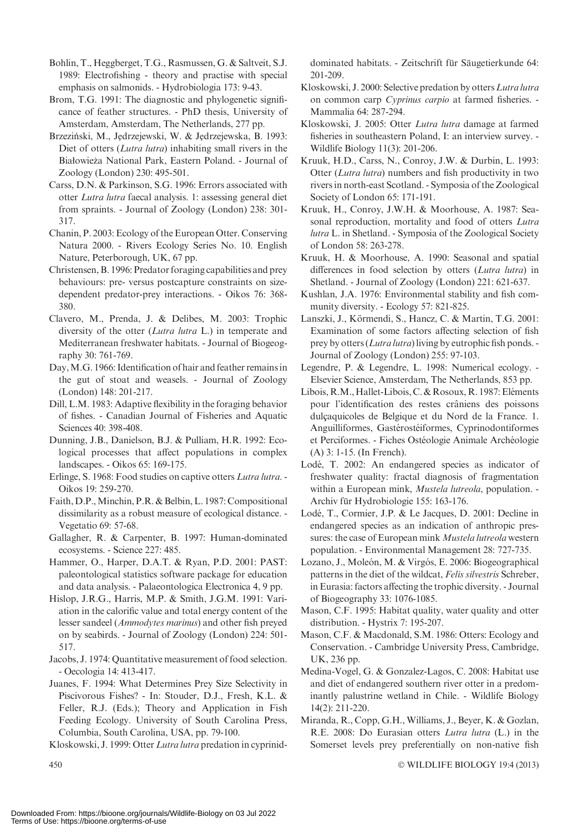Bohlin, T., Heggberget, T.G., Rasmussen, G. & Saltveit, S.J. 1989: Electrofishing - theory and practise with special emphasis on salmonids. - Hydrobiologia 173: 9-43.

Brom, T.G. 1991: The diagnostic and phylogenetic significance of feather structures. - PhD thesis, University of Amsterdam, Amsterdam, The Netherlands, 277 pp.

Brzeziński, M., Jedrzejewski, W. & Jedrzejewska, B. 1993: Diet of otters (*Lutra lutra*) inhabiting small rivers in the Białowieża National Park, Eastern Poland. - Journal of Zoology (London) 230: 495-501.

Carss, D.N. & Parkinson, S.G. 1996: Errors associated with otter Lutra lutra faecal analysis. 1: assessing general diet from spraints. - Journal of Zoology (London) 238: 301- 317.

Chanin, P. 2003: Ecology of the European Otter. Conserving Natura 2000. - Rivers Ecology Series No. 10. English Nature, Peterborough, UK, 67 pp.

Christensen, B. 1996: Predator foraging capabilities and prey behaviours: pre- versus postcapture constraints on sizedependent predator-prey interactions. - Oikos 76: 368- 380.

Clavero, M., Prenda, J. & Delibes, M. 2003: Trophic diversity of the otter (Lutra lutra L.) in temperate and Mediterranean freshwater habitats. - Journal of Biogeography 30: 761-769.

Day,M.G. 1966: Identification of hair and feather remains in the gut of stoat and weasels. - Journal of Zoology (London) 148: 201-217.

Dill, L.M. 1983: Adaptive flexibility in the foraging behavior of fishes. - Canadian Journal of Fisheries and Aquatic Sciences 40: 398-408.

Dunning, J.B., Danielson, B.J. & Pulliam, H.R. 1992: Ecological processes that affect populations in complex landscapes. - Oikos 65: 169-175.

Erlinge, S. 1968: Food studies on captive otters Lutra lutra. - Oikos 19: 259-270.

Faith, D.P.,Minchin, P.R. & Belbin, L. 1987: Compositional dissimilarity as a robust measure of ecological distance. - Vegetatio 69: 57-68.

Gallagher, R. & Carpenter, B. 1997: Human-dominated ecosystems. - Science 227: 485.

Hammer, O., Harper, D.A.T. & Ryan, P.D. 2001: PAST: paleontological statistics software package for education and data analysis. - Palaeontologica Electronica 4, 9 pp.

Hislop, J.R.G., Harris, M.P. & Smith, J.G.M. 1991: Variation in the calorific value and total energy content of the lesser sandeel (Ammodytes marinus) and other fish preyed on by seabirds. - Journal of Zoology (London) 224: 501- 517.

Jacobs, J. 1974: Quantitative measurement of food selection. - Oecologia 14: 413-417.

Juanes, F. 1994: What Determines Prey Size Selectivity in Piscivorous Fishes? - In: Stouder, D.J., Fresh, K.L. & Feller, R.J. (Eds.); Theory and Application in Fish Feeding Ecology. University of South Carolina Press, Columbia, South Carolina, USA, pp. 79-100.

Kloskowski, J. 1999: Otter Lutra lutra predation in cyprinid-

dominated habitats. - Zeitschrift für Säugetierkunde 64: 201-209.

Kloskowski, J. 2000: Selective predation by otters Lutra lutra on common carp Cyprinus carpio at farmed fisheries. - Mammalia 64: 287-294.

Kloskowski, J. 2005: Otter Lutra lutra damage at farmed fisheries in southeastern Poland, I: an interview survey. - Wildlife Biology 11(3): 201-206.

Kruuk, H.D., Carss, N., Conroy, J.W. & Durbin, L. 1993: Otter (Lutra lutra) numbers and fish productivity in two rivers in north-east Scotland. - Symposia of the Zoological Society of London 65: 171-191.

Kruuk, H., Conroy, J.W.H. & Moorhouse, A. 1987: Seasonal reproduction, mortality and food of otters Lutra lutra L. in Shetland. - Symposia of the Zoological Society of London 58: 263-278.

Kruuk, H. & Moorhouse, A. 1990: Seasonal and spatial differences in food selection by otters (Lutra lutra) in Shetland. - Journal of Zoology (London) 221: 621-637.

Kushlan, J.A. 1976: Environmental stability and fish community diversity. - Ecology 57: 821-825.

Lanszki, J., Körmendi, S., Hancz, C. & Martin, T.G. 2001: Examination of some factors affecting selection of fish prey by otters (*Lutra lutra*) living by eutrophic fish ponds. -Journal of Zoology (London) 255: 97-103.

Legendre, P. & Legendre, L. 1998: Numerical ecology. - Elsevier Science, Amsterdam, The Netherlands, 853 pp.

Libois, R.M., Hallet-Libois, C. & Rosoux, R. 1987: Eléments pour l'identification des restes crâniens des poissons dulcaquicoles de Belgique et du Nord de la France. 1. Anguilliformes, Gastérostéiformes, Cyprinodontiformes et Perciformes. - Fiches Ostéologie Animale Archéologie (A) 3: 1-15. (In French).

Lodé, T. 2002: An endangered species as indicator of freshwater quality: fractal diagnosis of fragmentation within a European mink, Mustela lutreola, population. -Archiv für Hydrobiologie 155: 163-176.

Lodé, T., Cormier, J.P. & Le Jacques, D. 2001: Decline in endangered species as an indication of anthropic pressures: the case of European mink *Mustela lutreola* western population. - Environmental Management 28: 727-735.

Lozano, J., Moleón, M. & Virgós, E. 2006: Biogeographical patterns in the diet of the wildcat, Felis silvestris Schreber, in Eurasia: factors affecting the trophic diversity. - Journal of Biogeography 33: 1076-1085.

Mason, C.F. 1995: Habitat quality, water quality and otter distribution. - Hystrix 7: 195-207.

Mason, C.F. & Macdonald, S.M. 1986: Otters: Ecology and Conservation. - Cambridge University Press, Cambridge, UK, 236 pp.

Medina-Vogel, G. & Gonzalez-Lagos, C. 2008: Habitat use and diet of endangered southern river otter in a predominantly palustrine wetland in Chile. - Wildlife Biology 14(2): 211-220.

Miranda, R., Copp, G.H., Williams, J., Beyer, K. & Gozlan, R.E. 2008: Do Eurasian otters Lutra lutra (L.) in the Somerset levels prey preferentially on non-native fish

WILDLIFE BIOLOGY 19:4 (2013)

 $450$   $\circ$